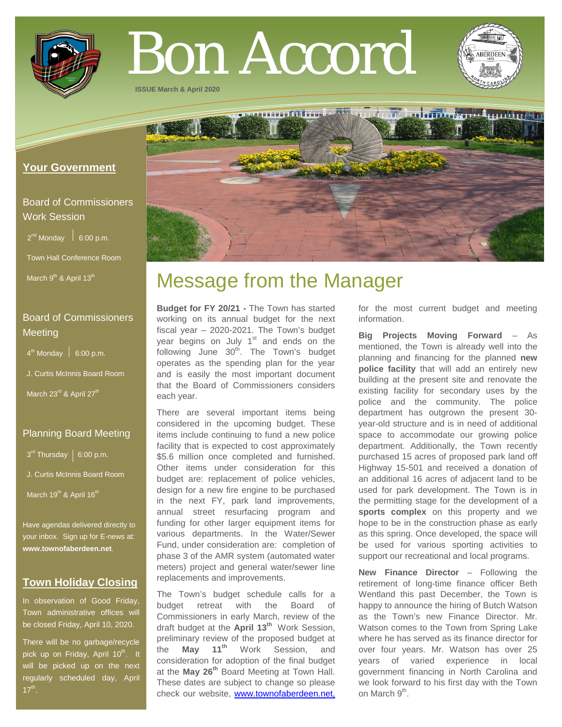

# Bon Accord

http://www.arthum

**ISSUE March & April 2020**

# **Your Government**

# Board of Commissioners Work Session

 $2^{nd}$  Monday  $\left| 6:00 \text{ p.m.} \right|$ 

Town Hall Conference Room

March 9<sup>th</sup> & April 13<sup>th</sup>

# Board of Commissioners **Meeting**

 $4<sup>th</sup>$  Monday  $\Big|$  6:00 p.m.

J. Curtis McInnis Board Room

March 23<sup>rd</sup> & April 27<sup>th</sup>

### Planning Board Meeting

 $3^{rd}$  Thursday | 6:00 p.m.

- J. Curtis McInnis Board Room
- March 19<sup>th</sup> & April 16<sup>th</sup>

Have agendas delivered directly to your inbox. Sign up for E-news at: **[www.townofaberdeen.net](http://www.townofaberdeen.net/)**.

## **Town Holiday Closing**

In observation of Good Friday, Town administrative offices will be closed Friday, April 10, 2020.

There will be no garbage/recycle pick up on Friday, April 10<sup>th</sup>. It will be picked up on the next regularly scheduled day, April  $17<sup>th</sup>$ .

# Message from the Manager

**Budget for FY 20/21 -** The Town has started working on its annual budget for the next fiscal year – 2020-2021. The Town's budget year begins on July  $1<sup>st</sup>$  and ends on the following June  $30<sup>th</sup>$ . The Town's budget operates as the spending plan for the year and is easily the most important document that the Board of Commissioners considers each year.

There are several important items being considered in the upcoming budget. These items include continuing to fund a new police facility that is expected to cost approximately \$5.6 million once completed and furnished. Other items under consideration for this budget are: replacement of police vehicles, design for a new fire engine to be purchased in the next FY, park land improvements, annual street resurfacing program and funding for other larger equipment items for various departments. In the Water/Sewer Fund, under consideration are: completion of phase 3 of the AMR system (automated water meters) project and general water/sewer line replacements and improvements.

The Town's budget schedule calls for a budget retreat with the Board of Commissioners in early March, review of the draft budget at the **April 13th** Work Session, preliminary review of the proposed budget at the **May 11th** Work Session, and consideration for adoption of the final budget at the **May 26th** Board Meeting at Town Hall. These dates are subject to change so please check our website, [www.townofaberdeen.net,](http://www.townofaberdeen.net/)

for the most current budget and meeting information.

**Big Projects Moving Forward** – As mentioned, the Town is already well into the planning and financing for the planned **new police facility** that will add an entirely new building at the present site and renovate the existing facility for secondary uses by the police and the community. The police department has outgrown the present 30 year-old structure and is in need of additional space to accommodate our growing police department. Additionally, the Town recently purchased 15 acres of proposed park land off Highway 15-501 and received a donation of an additional 16 acres of adjacent land to be used for park development. The Town is in the permitting stage for the development of a **sports complex** on this property and we hope to be in the construction phase as early as this spring. Once developed, the space will be used for various sporting activities to support our recreational and local programs.

**New Finance Director** – Following the retirement of long-time finance officer Beth Wentland this past December, the Town is happy to announce the hiring of Butch Watson as the Town's new Finance Director. Mr. Watson comes to the Town from Spring Lake where he has served as its finance director for over four years. Mr. Watson has over 25 years of varied experience in local government financing in North Carolina and we look forward to his first day with the Town on March 9<sup>th</sup>.